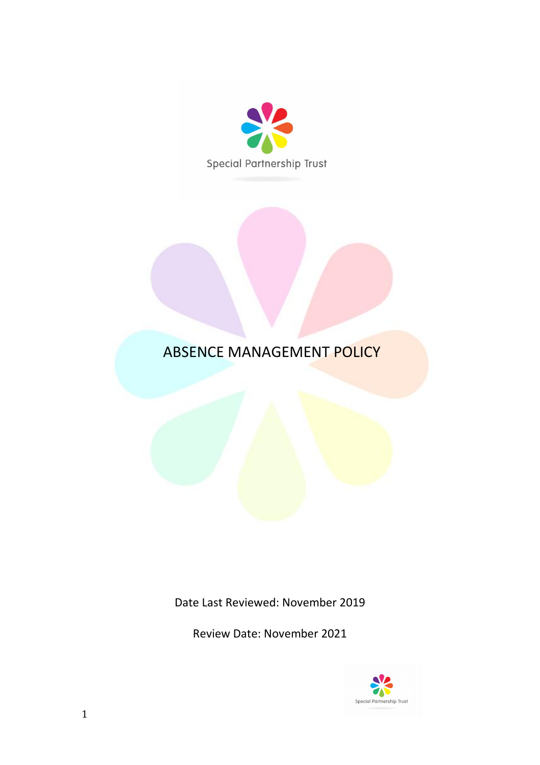

# ABSENCE MANAGEMENT POLICY

Date Last Reviewed: November 2019

Review Date: November 2021

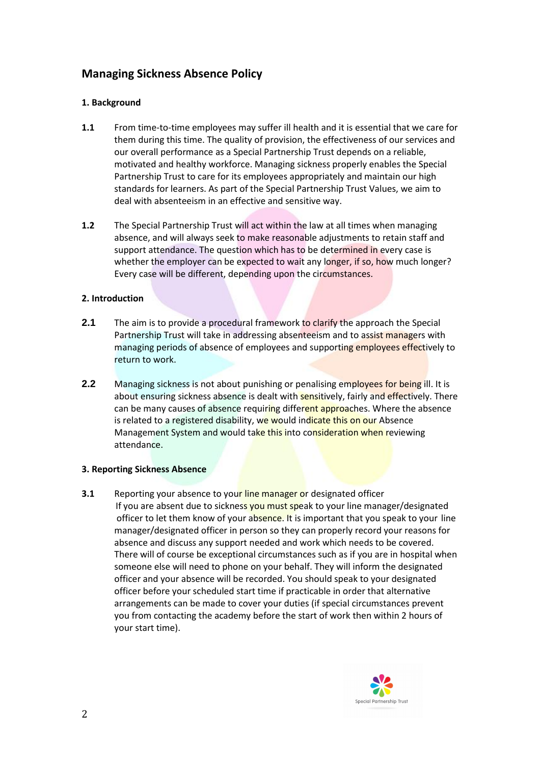# **Managing Sickness Absence Policy**

# **1. Background**

- **1.1** From time-to-time employees may suffer ill health and it is essential that we care for them during this time. The quality of provision, the effectiveness of our services and our overall performance as a Special Partnership Trust depends on a reliable, motivated and healthy workforce. Managing sickness properly enables the Special Partnership Trust to care for its employees appropriately and maintain our high standards for learners. As part of the Special Partnership Trust Values, we aim to deal with absenteeism in an effective and sensitive way.
- **1.2** The Special Partnership Trust will act within the law at all times when managing absence, and will always seek to make reasonable adjustments to retain staff and support attendance. The question which has to be determined in every case is whether the employer can be expected to wait any longer, if so, how much longer? Every case will be different, depending upon the circumstances.

# **2. Introduction**

- **2.1** The aim is to provide a procedural framework to clarify the approach the Special Partnership Trust will take in addressing absenteeism and to assist managers with managing periods of absence of employees and supporting employees effectively to return to work.
- **2.2** Managing sickness is not about punishing or penalising employees for being ill. It is about ensuring sickness absence is dealt with sensitively, fairly and effectively. There can be many causes of absence requiring different approaches. Where the absence is related to a registered disability, we would indicate this on our Absence Management System and would take this into consideration when reviewing attendance.

#### **3. Reporting Sickness Absence**

**3.1** Reporting your absence to your line manager or designated officer If you are absent due to sickness you must speak to your line manager/designated officer to let them know of your absence. It is important that you speak to your line manager/designated officer in person so they can properly record your reasons for absence and discuss any support needed and work which needs to be covered. There will of course be exceptional circumstances such as if you are in hospital when someone else will need to phone on your behalf. They will inform the designated officer and your absence will be recorded. You should speak to your designated officer before your scheduled start time if practicable in order that alternative arrangements can be made to cover your duties (if special circumstances prevent you from contacting the academy before the start of work then within 2 hours of your start time).

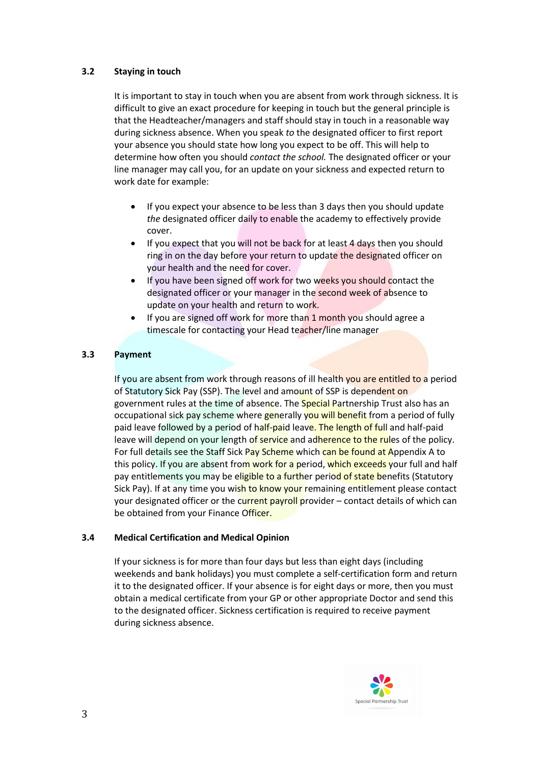# **3.2 Staying in touch**

It is important to stay in touch when you are absent from work through sickness. It is difficult to give an exact procedure for keeping in touch but the general principle is that the Headteacher/managers and staff should stay in touch in a reasonable way during sickness absence. When you speak *to* the designated officer to first report your absence you should state how long you expect to be off. This will help to determine how often you should *contact the school.* The designated officer or your line manager may call you, for an update on your sickness and expected return to work date for example:

- If you expect your absence to be less than 3 days then you should update *the* designated officer daily to enable the academy to effectively provide cover.
- If you expect that you will not be back for at least 4 days then you should ring in on the day before your return to update the designated officer on your health and the need for cover.
- If you have been signed off work for two weeks you should contact the designated officer or your manager in the second week of absence to update on your health and return to work.
- If you are signed off work for more than 1 month you should agree a timescale for contacting your Head teacher/line manager

# **3.3 Payment**

If you are absent from work through reasons of ill health you are entitled to a period of Statutory Sick Pay (SSP). The level and amount of SSP is dependent on government rules at the time of absence. The **Special Partnership Trust also has an** occupational sick pay scheme where generally you will benefit from a period of fully paid leave followed by a period of half-paid leave. The length of full and half-paid leave will depend on your length of service and adherence to the rules of the policy. For full details see the Staff Sick Pay Scheme which can be found at Appendix A to this policy. If you are absent from work for a period, which exceeds your full and half pay entitlements you may be eligible to a further period of state benefits (Statutory Sick Pay). If at any time you wish to know your remaining entitlement please contact your designated officer or the current payroll provider – contact details of which can be obtained from your Finance Officer.

#### **3.4 Medical Certification and Medical Opinion**

If your sickness is for more than four days but less than eight days (including weekends and bank holidays) you must complete a self-certification form and return it to the designated officer. If your absence is for eight days or more, then you must obtain a medical certificate from your GP or other appropriate Doctor and send this to the designated officer. Sickness certification is required to receive payment during sickness absence.

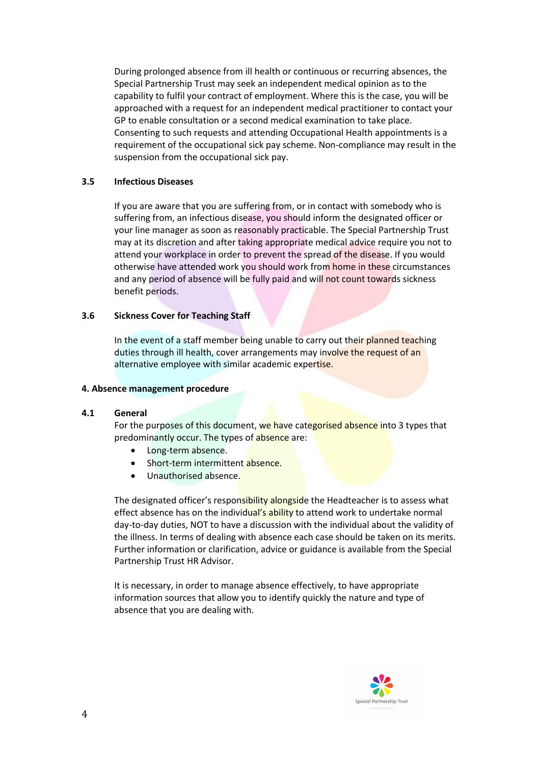During prolonged absence from ill health or continuous or recurring absences, the Special Partnership Trust may seek an independent medical opinion as to the capability to fulfil your contract of employment. Where this is the case, you will be approached with a request for an independent medical practitioner to contact your GP to enable consultation or a second medical examination to take place. Consenting to such requests and attending Occupational Health appointments is a requirement of the occupational sick pay scheme. Non-compliance may result in the suspension from the occupational sick pay.

#### **3.5 Infectious Diseases**

If you are aware that you are suffering from, or in contact with somebody who is suffering from, an infectious disease, you should inform the designated officer or your line manager as soon as reasonably practicable. The Special Partnership Trust may at its discretion and after taking appropriate medical advice require you not to attend your workplace in order to prevent the spread of the disease. If you would otherwise have attended work you should work from home in these circumstances and any period of absence will be fully paid and will not count towards sickness benefit periods.

#### **3.6 Sickness Cover for Teaching Staff**

In the event of a staff member being unable to carry out their planned teaching duties through ill health, cover arrangements may involve the request of an alternative employee with similar academic expertise.

#### **4. Absence management procedure**

#### **4.1 General**

For the purposes of this document, we have categorised absence into 3 types that predominantly occur. The types of absence are:

- Long-term absence.
- Short-term intermittent absence.
- Unauthorised absence.

The designated officer's responsibility alongside the Headteacher is to assess what effect absence has on the individual's ability to attend work to undertake normal day-to-day duties, NOT to have a discussion with the individual about the validity of the illness. In terms of dealing with absence each case should be taken on its merits. Further information or clarification, advice or guidance is available from the Special Partnership Trust HR Advisor.

It is necessary, in order to manage absence effectively, to have appropriate information sources that allow you to identify quickly the nature and type of absence that you are dealing with.

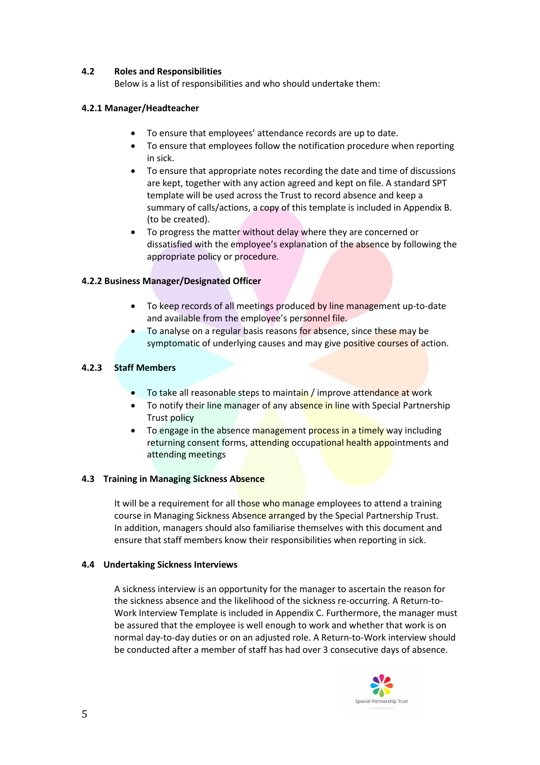# **4.2 Roles and Responsibilities**

Below is a list of responsibilities and who should undertake them:

### **4.2.1 Manager/Headteacher**

- To ensure that employees' attendance records are up to date.
- To ensure that employees follow the notification procedure when reporting in sick.
- To ensure that appropriate notes recording the date and time of discussions are kept, together with any action agreed and kept on file. A standard SPT template will be used across the Trust to record absence and keep a summary of calls/actions, a copy of this template is included in Appendix B. (to be created).
- To progress the matter without delay where they are concerned or dissatisfied with the employee's explanation of the absence by following the appropriate policy or procedure*.*

# **4.2.2 Business Manager/Designated Officer**

- To keep records of all meetings produced by line management up-to-date and available from the employee's personnel file.
- To analyse on a regular basis reasons for absence, since these may be symptomatic of underlying causes and may give positive courses of action.

# **4.2.3 Staff Members**

- To take all reasonable steps to maintain / improve attendance at work
- To notify their line manager of any absence in line with Special Partnership Trust policy
- To engage in the absence management process in a timely way including returning consent forms, attending occupational health appointments and attending meetings

#### **4.3 Training in Managing Sickness Absence**

It will be a requirement for all those who manage employees to attend a training course in Managing Sickness Absence arranged by the Special Partnership Trust. In addition, managers should also familiarise themselves with this document and ensure that staff members know their responsibilities when reporting in sick.

#### **4.4 Undertaking Sickness Interviews**

A sickness interview is an opportunity for the manager to ascertain the reason for the sickness absence and the likelihood of the sickness re-occurring. A Return-to-Work Interview Template is included in Appendix C. Furthermore, the manager must be assured that the employee is well enough to work and whether that work is on normal day-to-day duties or on an adjusted role. A Return-to-Work interview should be conducted after a member of staff has had over 3 consecutive days of absence.

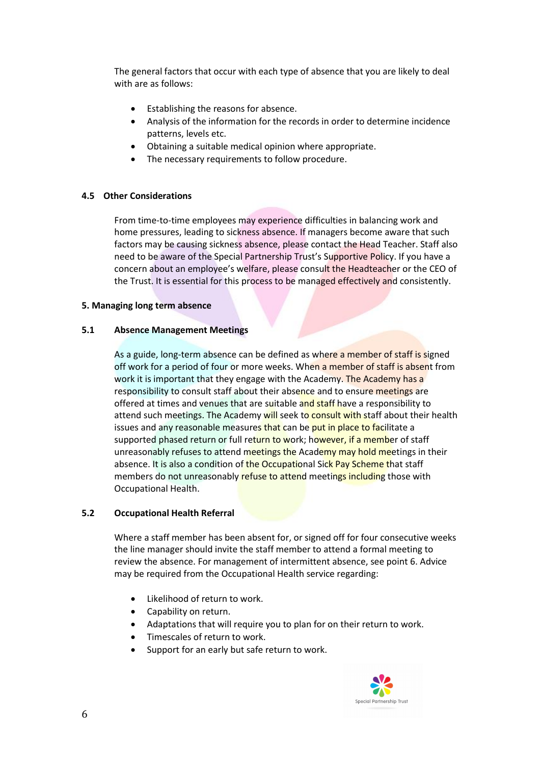The general factors that occur with each type of absence that you are likely to deal with are as follows:

- **•** Establishing the reasons for absence.
- Analysis of the information for the records in order to determine incidence patterns, levels etc.
- Obtaining a suitable medical opinion where appropriate.
- The necessary requirements to follow procedure.

#### **4.5 Other Considerations**

From time-to-time employees may experience difficulties in balancing work and home pressures, leading to sickness absence. If managers become aware that such factors may be causing sickness absence, please contact the Head Teacher. Staff also need to be aware of the Special Partnership Trust's Supportive Policy. If you have a concern about an employee's welfare, please consult the Headteacher or the CEO of the Trust. It is essential for this process to be managed effectively and consistently.

#### **5. Managing long term absence**

# **5.1 Absence Management Meetings**

As a guide, long-term absence can be defined as where a member of staff is signed off work for a period of four or more weeks. When a member of staff is absent from work it is important that they engage with the Academy. The Academy has a responsibility to consult staff about their absence and to ensure meetings are offered at times and venues that are suitable and staff have a responsibility to attend such meetings. The Academy will seek to consult with staff about their health issues and any reasonable measures that can be put in place to facilitate a supported phased return or full return to work; however, if a member of staff unreasonably refuses to attend meetings the Academy may hold meetings in their absence. It is also a condition of the Occupational Sick Pay Scheme that staff members do not unreasonably refuse to attend meetings including those with Occupational Health.

#### **5.2 Occupational Health Referral**

Where a staff member has been absent for, or signed off for four consecutive weeks the line manager should invite the staff member to attend a formal meeting to review the absence. For management of intermittent absence, see point 6. Advice may be required from the Occupational Health service regarding:

- Likelihood of return to work.
- Capability on return.
- Adaptations that will require you to plan for on their return to work.
- Timescales of return to work.
- Support for an early but safe return to work.

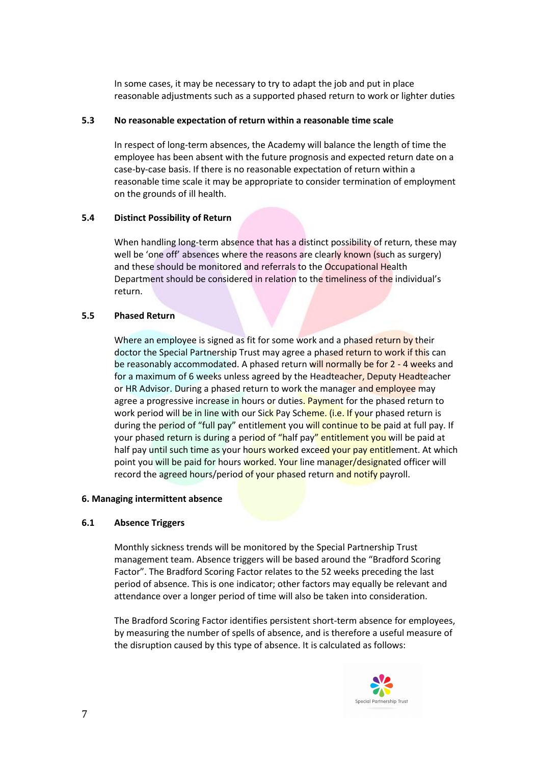In some cases, it may be necessary to try to adapt the job and put in place reasonable adjustments such as a supported phased return to work or lighter duties

#### **5.3 No reasonable expectation of return within a reasonable time scale**

In respect of long-term absences, the Academy will balance the length of time the employee has been absent with the future prognosis and expected return date on a case-by-case basis. If there is no reasonable expectation of return within a reasonable time scale it may be appropriate to consider termination of employment on the grounds of ill health.

#### **5.4 Distinct Possibility of Return**

When handling long-term absence that has a distinct possibility of return, these may well be 'one off' absences where the reasons are clearly known (such as surgery) and these should be monitored and referrals to the Occupational Health Department should be considered in relation to the timeliness of the individual's return.

#### **5.5 Phased Return**

Where an employee is signed as fit for some work and a phased return by their doctor the Special Partnership Trust may agree a phased return to work if this can be reasonably accommodated. A phased return will normally be for 2 - 4 weeks and for a maximum of 6 weeks unless agreed by the Headteacher, Deputy Headteacher or HR Advisor. During a phased return to work the manager and employee may agree a progressive increase in hours or duties. Payment for the phased return to work period will be in line with our Sick Pay Scheme. (i.e. If your phased return is during the period of "full pay" entitlement you will continue to be paid at full pay. If your phased return is during a period of "half pay" entitlement you will be paid at half pay until such time as your hours worked exceed your pay entitlement. At which point you will be paid for hours worked. Your line manager/designated officer will record the agreed hours/period of your phased return and notify payroll.

#### **6. Managing intermittent absence**

#### **6.1 Absence Triggers**

Monthly sickness trends will be monitored by the Special Partnership Trust management team. Absence triggers will be based around the "Bradford Scoring Factor". The Bradford Scoring Factor relates to the 52 weeks preceding the last period of absence. This is one indicator; other factors may equally be relevant and attendance over a longer period of time will also be taken into consideration.

The Bradford Scoring Factor identifies persistent short-term absence for employees, by measuring the number of spells of absence, and is therefore a useful measure of the disruption caused by this type of absence. It is calculated as follows:

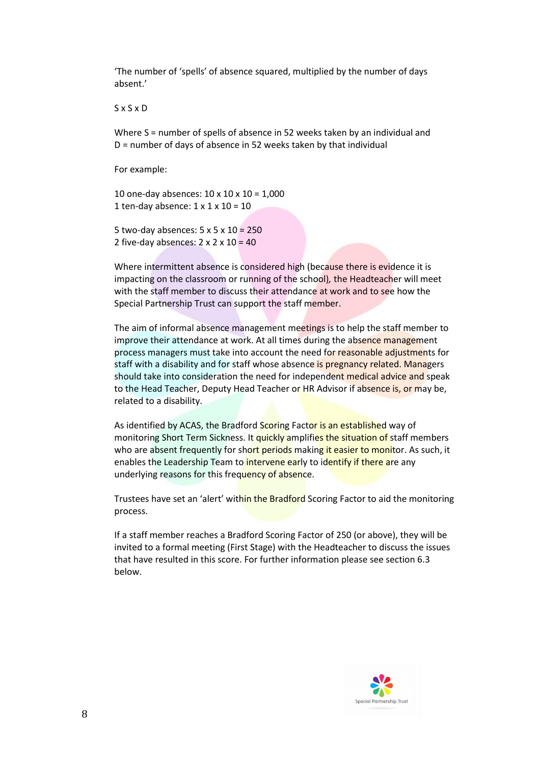'The number of 'spells' of absence squared, multiplied by the number of days absent.'

#### S x S x D

Where S = number of spells of absence in 52 weeks taken by an individual and D = number of days of absence in 52 weeks taken by that individual

For example:

10 one-day absences: 10 x 10 x 10 = 1,000 1 ten-day absence:  $1 \times 1 \times 10 = 10$ 

5 two-day absences: 5 x 5 x 10 = 250 2 five-day absences:  $2 \times 2 \times 10 = 40$ 

Where intermittent absence is considered high (because there is evidence it is impacting on the classroom or running of the school)*,* the Headteacher will meet with the staff member to discuss their attendance at work and to see how the Special Partnership Trust can support the staff member.

The aim of informal absence management meetings is to help the staff member to improve their attendance at work. At all times during the absence management process managers must take into account the need for reasonable adjustments for staff with a disability and for staff whose absence is pregnancy related. Managers should take into consideration the need for independent medical advice and speak to the Head Teacher, Deputy Head Teacher or HR Advisor if absence is, or may be, related to a disability.

As identified by ACAS, the Bradford Scoring Factor is an established way of monitoring Short Term Sickness. It quickly amplifies the situation of staff members who are absent frequently for short periods making it easier to monitor. As such, it enables the Leadership Team to intervene early to identify if there are any underlying reasons for this frequency of absence.

Trustees have set an 'alert' within the Bradford Scoring Factor to aid the monitoring process.

If a staff member reaches a Bradford Scoring Factor of 250 (or above), they will be invited to a formal meeting (First Stage) with the Headteacher to discuss the issues that have resulted in this score. For further information please see section 6.3 below.

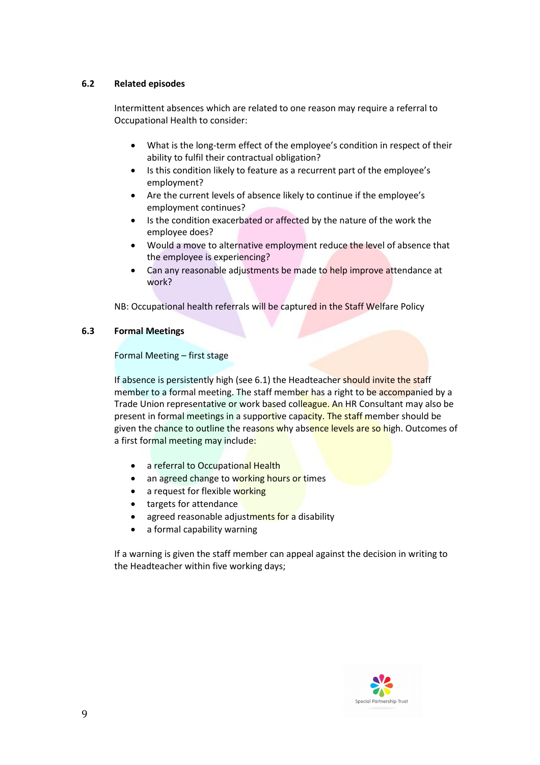# **6.2 Related episodes**

Intermittent absences which are related to one reason may require a referral to Occupational Health to consider:

- What is the long-term effect of the employee's condition in respect of their ability to fulfil their contractual obligation?
- Is this condition likely to feature as a recurrent part of the employee's employment?
- Are the current levels of absence likely to continue if the employee's employment continues?
- Is the condition exacerbated or affected by the nature of the work the employee does?
- Would a move to alternative employment reduce the level of absence that the employee is experiencing?
- Can any reasonable adjustments be made to help improve attendance at work?

NB: Occupational health referrals will be captured in the Staff Welfare Policy

#### **6.3 Formal Meetings**

Formal Meeting – first stage

If absence is persistently high (see 6.1) the Headteacher should invite the staff member to a formal meeting. The staff member has a right to be accompanied by a Trade Union representative or work based colleague. An HR Consultant may also be present in formal meetings in a supportive capacity. The staff member should be given the chance to outline the reasons why absence levels are so high. Outcomes of a first formal meeting may include:

- a referral to Occupational Health
- an agreed change to working hours or times
- a request for flexible working
- targets for attendance
- agreed reasonable adjustments for a disability
- a formal capability warning

If a warning is given the staff member can appeal against the decision in writing to the Headteacher within five working days;

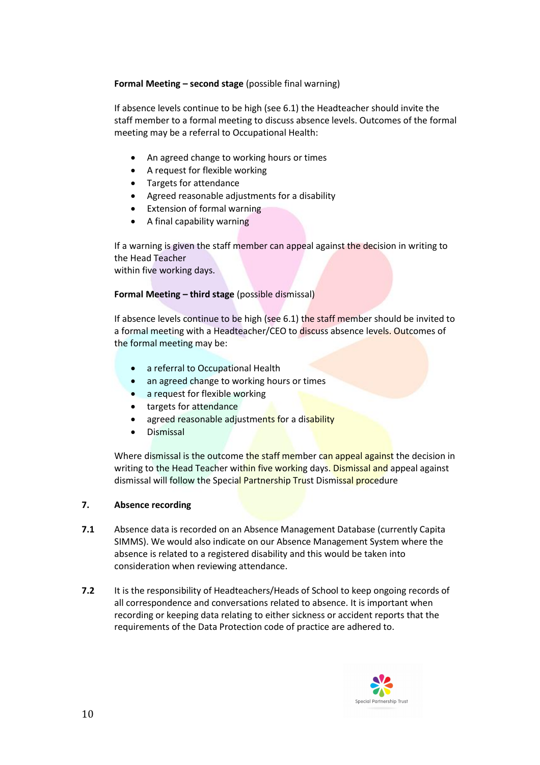# **Formal Meeting – second stage** (possible final warning)

If absence levels continue to be high (see 6.1) the Headteacher should invite the staff member to a formal meeting to discuss absence levels. Outcomes of the formal meeting may be a referral to Occupational Health:

- An agreed change to working hours or times
- A request for flexible working
- Targets for attendance
- Agreed reasonable adjustments for a disability
- Extension of formal warning
- A final capability warning

If a warning is given the staff member can appeal against the decision in writing to the Head Teacher within five working days.

#### **Formal Meeting – third stage** (possible dismissal)

If absence levels continue to be high (see 6.1) the staff member should be invited to a formal meeting with a Headteacher/CEO to discuss absence levels. Outcomes of the formal meeting may be:

- a referral to Occupational Health
- an agreed change to working hours or times
- a request for flexible working
- targets for attendance
- agreed reasonable adjustments for a disability
- Dismissal

Where dismissal is the outcome the staff member can appeal against the decision in writing to the Head Teacher within five working days. Dismissal and appeal against dismissal will follow the Special Partnership Trust Dismissal procedure

#### **7. Absence recording**

- **7.1** Absence data is recorded on an Absence Management Database (currently Capita SIMMS). We would also indicate on our Absence Management System where the absence is related to a registered disability and this would be taken into consideration when reviewing attendance.
- **7.2** It is the responsibility of Headteachers/Heads of School to keep ongoing records of all correspondence and conversations related to absence. It is important when recording or keeping data relating to either sickness or accident reports that the requirements of the Data Protection code of practice are adhered to.

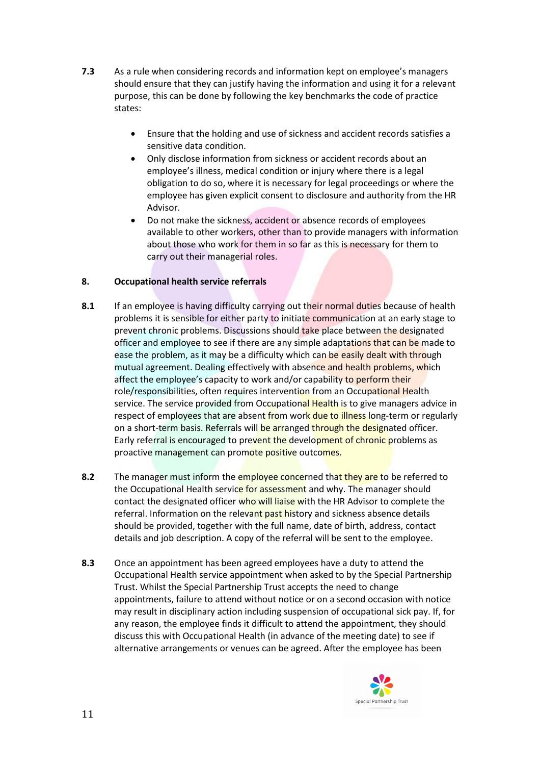- **7.3** As a rule when considering records and information kept on employee's managers should ensure that they can justify having the information and using it for a relevant purpose, this can be done by following the key benchmarks the code of practice states:
	- Ensure that the holding and use of sickness and accident records satisfies a sensitive data condition.
	- Only disclose information from sickness or accident records about an employee's illness, medical condition or injury where there is a legal obligation to do so, where it is necessary for legal proceedings or where the employee has given explicit consent to disclosure and authority from the HR Advisor.
	- Do not make the sickness, accident or absence records of employees available to other workers, other than to provide managers with information about those who work for them in so far as this is necessary for them to carry out their managerial roles.

# **8. Occupational health service referrals**

- **8.1** If an employee is having difficulty carrying out their normal duties because of health problems it is sensible for either party to initiate communication at an early stage to prevent chronic problems. Discussions should take place between the designated officer and employee to see if there are any simple adaptations that can be made to ease the problem, as it may be a difficulty which can be easily dealt with through mutual agreement. Dealing effectively with absence and health problems, which affect the employee's capacity to work and/or capability to perform their role/responsibilities, often requires intervention from an Occupational Health service. The service provided from Occupational Health is to give managers advice in respect of employees that are absent from work due to illness long-term or regularly on a short-term basis. Referrals will be arranged through the designated officer. Early referral is encouraged to prevent the development of chronic problems as proactive management can promote positive outcomes.
- **8.2** The manager must inform the employee concerned that they are to be referred to the Occupational Health service for assessment and why. The manager should contact the designated officer who will liaise with the HR Advisor to complete the referral. Information on the relevant past history and sickness absence details should be provided, together with the full name, date of birth, address, contact details and job description. A copy of the referral will be sent to the employee.
- **8.3** Once an appointment has been agreed employees have a duty to attend the Occupational Health service appointment when asked to by the Special Partnership Trust. Whilst the Special Partnership Trust accepts the need to change appointments, failure to attend without notice or on a second occasion with notice may result in disciplinary action including suspension of occupational sick pay. If, for any reason, the employee finds it difficult to attend the appointment, they should discuss this with Occupational Health (in advance of the meeting date) to see if alternative arrangements or venues can be agreed. After the employee has been